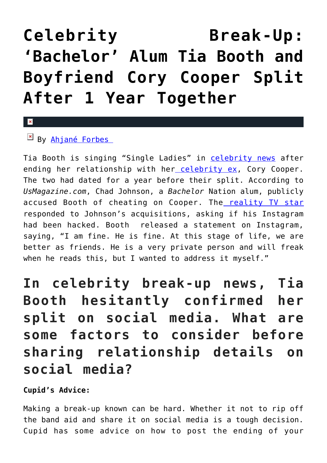## **[Celebrity Break-Up:](https://cupidspulse.com/133541/celebrity-break-up-bachelor-alum-tia-booth-cory-cooper-split/) ['Bachelor' Alum Tia Booth and](https://cupidspulse.com/133541/celebrity-break-up-bachelor-alum-tia-booth-cory-cooper-split/) [Boyfriend Cory Cooper Split](https://cupidspulse.com/133541/celebrity-break-up-bachelor-alum-tia-booth-cory-cooper-split/) [After 1 Year Together](https://cupidspulse.com/133541/celebrity-break-up-bachelor-alum-tia-booth-cory-cooper-split/)**

## $\mathbf{x}$

 $By$  Ahjané Forbes

Tia Booth is singing "Single Ladies" in [celebrity news](http://cupidspulse.com/celebrity-news/) after ending her relationship with her [celebrity ex,](http://cupidspulse.com/celebrity-news/celebrity-break-ups/) Cory Cooper. The two had dated for a year before their split. According to *UsMagazine.com*, Chad Johnson, a *Bachelor* Nation alum, publicly accused Booth of cheating on Cooper. The [reality TV star](http://cupidspulse.com/celebrity-news/reality-tv/) responded to Johnson's acquisitions, asking if his Instagram had been hacked. Booth released a statement on Instagram, saying, "I am fine. He is fine. At this stage of life, we are better as friends. He is a very private person and will freak when he reads this, but I wanted to address it myself."

**In celebrity break-up news, Tia Booth hesitantly confirmed her split on social media. What are some factors to consider before sharing relationship details on social media?**

**Cupid's Advice:** 

Making a break-up known can be hard. Whether it not to rip off the band aid and share it on social media is a tough decision. Cupid has some advice on how to post the ending of your